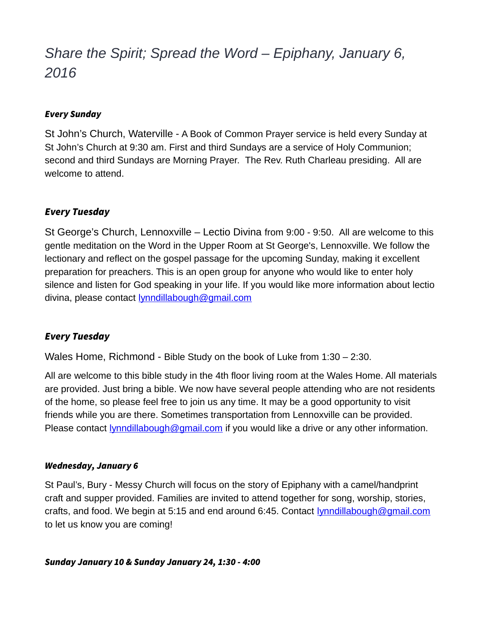# *Share the Spirit; Spread the Word – Epiphany, January 6, 2016*

#### Every Sunday

St John's Church, Waterville - A Book of Common Prayer service is held every Sunday at St John's Church at 9:30 am. First and third Sundays are a service of Holy Communion; second and third Sundays are Morning Prayer. The Rev. Ruth Charleau presiding. All are welcome to attend.

# Every Tuesday

St George's Church, Lennoxville – Lectio Divina from 9:00 - 9:50. All are welcome to this gentle meditation on the Word in the Upper Room at St George's, Lennoxville. We follow the lectionary and reflect on the gospel passage for the upcoming Sunday, making it excellent preparation for preachers. This is an open group for anyone who would like to enter holy silence and listen for God speaking in your life. If you would like more information about lectio divina, please contact [lynndillabough@gmail.com](mailto:lynndillabough@gmail.com)

## Every Tuesday

Wales Home, Richmond - Bible Study on the book of Luke from 1:30 – 2:30.

All are welcome to this bible study in the 4th floor living room at the Wales Home. All materials are provided. Just bring a bible. We now have several people attending who are not residents of the home, so please feel free to join us any time. It may be a good opportunity to visit friends while you are there. Sometimes transportation from Lennoxville can be provided. Please contact [lynndillabough@gmail.com](mailto:lynndillabough@gmail.com) if you would like a drive or any other information.

#### Wednesday, January 6

St Paul's, Bury - Messy Church will focus on the story of Epiphany with a camel/handprint craft and supper provided. Families are invited to attend together for song, worship, stories, crafts, and food. We begin at 5:15 and end around 6:45. Contact **lynndillabough@gmail.com** to let us know you are coming!

Sunday January 10 & Sunday January 24, 1:30 - 4:00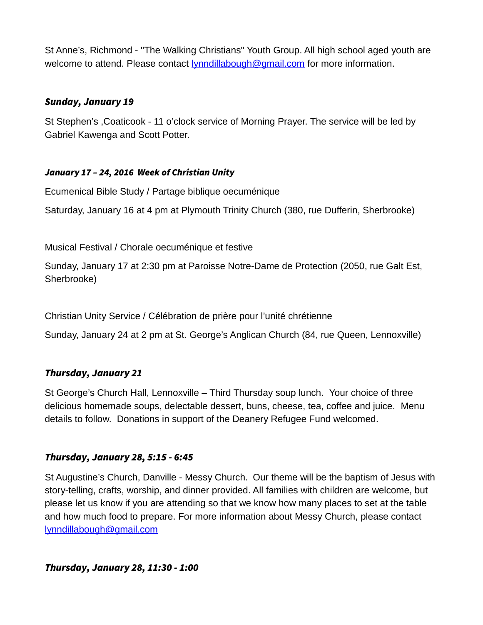St Anne's, Richmond - "The Walking Christians" Youth Group. All high school aged youth are welcome to attend. Please contact **lynndillabough@gmail.com** for more information.

## Sunday, January 19

St Stephen's ,Coaticook - 11 o'clock service of Morning Prayer. The service will be led by Gabriel Kawenga and Scott Potter.

### January 17 – 24, 2016 Week of Christian Unity

Ecumenical Bible Study / Partage biblique oecuménique

Saturday, January 16 at 4 pm at Plymouth Trinity Church (380, rue Dufferin, Sherbrooke)

Musical Festival / Chorale oecuménique et festive

Sunday, January 17 at 2:30 pm at Paroisse Notre-Dame de Protection (2050, rue Galt Est, Sherbrooke)

Christian Unity Service / Célébration de prière pour l'unité chrétienne

Sunday, January 24 at 2 pm at St. George's Anglican Church (84, rue Queen, Lennoxville)

## Thursday, January 21

St George's Church Hall, Lennoxville – Third Thursday soup lunch. Your choice of three delicious homemade soups, delectable dessert, buns, cheese, tea, coffee and juice. Menu details to follow. Donations in support of the Deanery Refugee Fund welcomed.

## Thursday, January 28, 5:15 - 6:45

St Augustine's Church, Danville - Messy Church. Our theme will be the baptism of Jesus with story-telling, crafts, worship, and dinner provided. All families with children are welcome, but please let us know if you are attending so that we know how many places to set at the table and how much food to prepare. For more information about Messy Church, please contact [lynndillabough@gmail.com](mailto:lynndillabough@gmail.com)

#### Thursday, January 28, 11:30 - 1:00